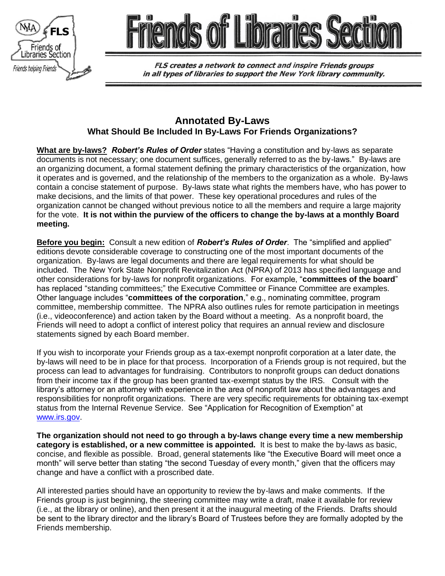



**FLS creates a network to connect and inspire Friends groups** in all types of libraries to support the New York library community.

# **Annotated By-Laws What Should Be Included In By-Laws For Friends Organizations?**

**What are by-laws?** *Robert's Rules of Order* states "Having a constitution and by-laws as separate documents is not necessary; one document suffices, generally referred to as the by-laws." By-laws are an organizing document, a formal statement defining the primary characteristics of the organization, how it operates and is governed, and the relationship of the members to the organization as a whole. By-laws contain a concise statement of purpose. By-laws state what rights the members have, who has power to make decisions, and the limits of that power. These key operational procedures and rules of the organization cannot be changed without previous notice to all the members and require a large majority for the vote. **It is not within the purview of the officers to change the by-laws at a monthly Board meeting.**

**Before you begin:** Consult a new edition of *Robert's Rules of Order*. The "simplified and applied" editions devote considerable coverage to constructing one of the most important documents of the organization. By-laws are legal documents and there are legal requirements for what should be included. The New York State Nonprofit Revitalization Act (NPRA) of 2013 has specified language and other considerations for by-laws for nonprofit organizations. For example, "**committees of the board**" has replaced "standing committees;" the Executive Committee or Finance Committee are examples. Other language includes "**committees of the corporation**," e.g., nominating committee, program committee, membership committee. The NPRA also outlines rules for remote participation in meetings (i.e., videoconference) and action taken by the Board without a meeting. As a nonprofit board, the Friends will need to adopt a conflict of interest policy that requires an annual review and disclosure statements signed by each Board member.

If you wish to incorporate your Friends group as a tax-exempt nonprofit corporation at a later date, the by-laws will need to be in place for that process. Incorporation of a Friends group is not required, but the process can lead to advantages for fundraising. Contributors to nonprofit groups can deduct donations from their income tax if the group has been granted tax-exempt status by the IRS. Consult with the library's attorney or an attorney with experience in the area of nonprofit law about the advantages and responsibilities for nonprofit organizations. There are very specific requirements for obtaining tax-exempt status from the Internal Revenue Service. See "Application for Recognition of Exemption" at [www.irs.gov.](http://www.irs.gov/)

**The organization should not need to go through a by-laws change every time a new membership category is established, or a new committee is appointed.** It is best to make the by-laws as basic, concise, and flexible as possible. Broad, general statements like "the Executive Board will meet once a month" will serve better than stating "the second Tuesday of every month," given that the officers may change and have a conflict with a proscribed date.

All interested parties should have an opportunity to review the by-laws and make comments. If the Friends group is just beginning, the steering committee may write a draft, make it available for review (i.e., at the library or online), and then present it at the inaugural meeting of the Friends. Drafts should be sent to the library director and the library's Board of Trustees before they are formally adopted by the Friends membership.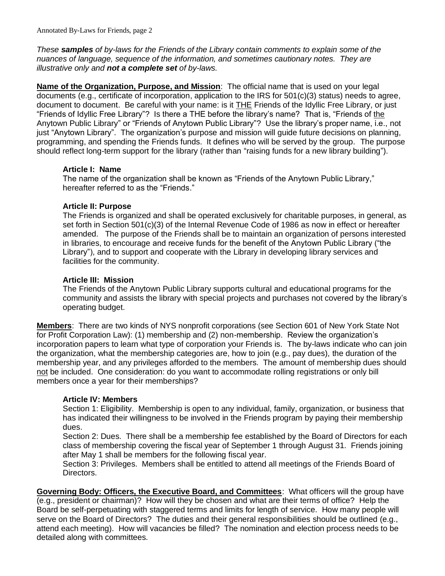*These samples of by-laws for the Friends of the Library contain comments to explain some of the nuances of language, sequence of the information, and sometimes cautionary notes. They are illustrative only and not a complete set of by-laws.*

**Name of the Organization, Purpose, and Mission**: The official name that is used on your legal documents (e.g., certificate of incorporation, application to the IRS for 501(c)(3) status) needs to agree, document to document. Be careful with your name: is it THE Friends of the Idyllic Free Library, or just "Friends of Idyllic Free Library"? Is there a THE before the library's name? That is, "Friends of the Anytown Public Library" or "Friends of Anytown Public Library"? Use the library's proper name, i.e., not just "Anytown Library". The organization's purpose and mission will guide future decisions on planning, programming, and spending the Friends funds. It defines who will be served by the group. The purpose should reflect long-term support for the library (rather than "raising funds for a new library building").

#### **Article I: Name**

The name of the organization shall be known as "Friends of the Anytown Public Library," hereafter referred to as the "Friends."

## **Article II: Purpose**

The Friends is organized and shall be operated exclusively for charitable purposes, in general, as set forth in Section 501(c)(3) of the Internal Revenue Code of 1986 as now in effect or hereafter amended. The purpose of the Friends shall be to maintain an organization of persons interested in libraries, to encourage and receive funds for the benefit of the Anytown Public Library ("the Library"), and to support and cooperate with the Library in developing library services and facilities for the community.

## **Article III: Mission**

The Friends of the Anytown Public Library supports cultural and educational programs for the community and assists the library with special projects and purchases not covered by the library's operating budget.

**Members**: There are two kinds of NYS nonprofit corporations (see Section 601 of New York State Not for Profit Corporation Law): (1) membership and (2) non-membership. Review the organization's incorporation papers to learn what type of corporation your Friends is. The by-laws indicate who can join the organization, what the membership categories are, how to join (e.g., pay dues), the duration of the membership year, and any privileges afforded to the members. The amount of membership dues should not be included. One consideration: do you want to accommodate rolling registrations or only bill members once a year for their memberships?

#### **Article IV: Members**

Section 1: Eligibility. Membership is open to any individual, family, organization, or business that has indicated their willingness to be involved in the Friends program by paying their membership dues.

Section 2: Dues. There shall be a membership fee established by the Board of Directors for each class of membership covering the fiscal year of September 1 through August 31. Friends joining after May 1 shall be members for the following fiscal year.

Section 3: Privileges. Members shall be entitled to attend all meetings of the Friends Board of Directors.

**Governing Body: Officers, the Executive Board, and Committees**: What officers will the group have (e.g., president or chairman)? How will they be chosen and what are their terms of office? Help the Board be self-perpetuating with staggered terms and limits for length of service. How many people will serve on the Board of Directors? The duties and their general responsibilities should be outlined (e.g., attend each meeting). How will vacancies be filled? The nomination and election process needs to be detailed along with committees.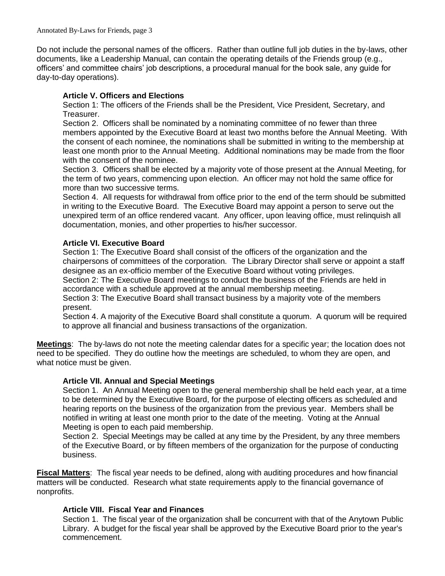Do not include the personal names of the officers. Rather than outline full job duties in the by-laws, other documents, like a Leadership Manual, can contain the operating details of the Friends group (e.g., officers' and committee chairs' job descriptions, a procedural manual for the book sale, any guide for day-to-day operations).

## **Article V. Officers and Elections**

Section 1: The officers of the Friends shall be the President, Vice President, Secretary, and Treasurer.

Section 2. Officers shall be nominated by a nominating committee of no fewer than three members appointed by the Executive Board at least two months before the Annual Meeting. With the consent of each nominee, the nominations shall be submitted in writing to the membership at least one month prior to the Annual Meeting. Additional nominations may be made from the floor with the consent of the nominee.

Section 3. Officers shall be elected by a majority vote of those present at the Annual Meeting, for the term of two years, commencing upon election. An officer may not hold the same office for more than two successive terms.

Section 4. All requests for withdrawal from office prior to the end of the term should be submitted in writing to the Executive Board. The Executive Board may appoint a person to serve out the unexpired term of an office rendered vacant. Any officer, upon leaving office, must relinquish all documentation, monies, and other properties to his/her successor.

#### **Article VI. Executive Board**

Section 1: The Executive Board shall consist of the officers of the organization and the chairpersons of committees of the corporation. The Library Director shall serve or appoint a staff designee as an ex-officio member of the Executive Board without voting privileges.

Section 2: The Executive Board meetings to conduct the business of the Friends are held in accordance with a schedule approved at the annual membership meeting.

Section 3: The Executive Board shall transact business by a majority vote of the members present.

Section 4. A majority of the Executive Board shall constitute a quorum. A quorum will be required to approve all financial and business transactions of the organization.

**Meetings**: The by-laws do not note the meeting calendar dates for a specific year; the location does not need to be specified. They do outline how the meetings are scheduled, to whom they are open, and what notice must be given.

## **Article VII. Annual and Special Meetings**

Section 1. An Annual Meeting open to the general membership shall be held each year, at a time to be determined by the Executive Board, for the purpose of electing officers as scheduled and hearing reports on the business of the organization from the previous year. Members shall be notified in writing at least one month prior to the date of the meeting. Voting at the Annual Meeting is open to each paid membership.

Section 2. Special Meetings may be called at any time by the President, by any three members of the Executive Board, or by fifteen members of the organization for the purpose of conducting business.

**Fiscal Matters**: The fiscal year needs to be defined, along with auditing procedures and how financial matters will be conducted. Research what state requirements apply to the financial governance of nonprofits.

## **Article VIII. Fiscal Year and Finances**

Section 1. The fiscal year of the organization shall be concurrent with that of the Anytown Public Library. A budget for the fiscal year shall be approved by the Executive Board prior to the year's commencement.